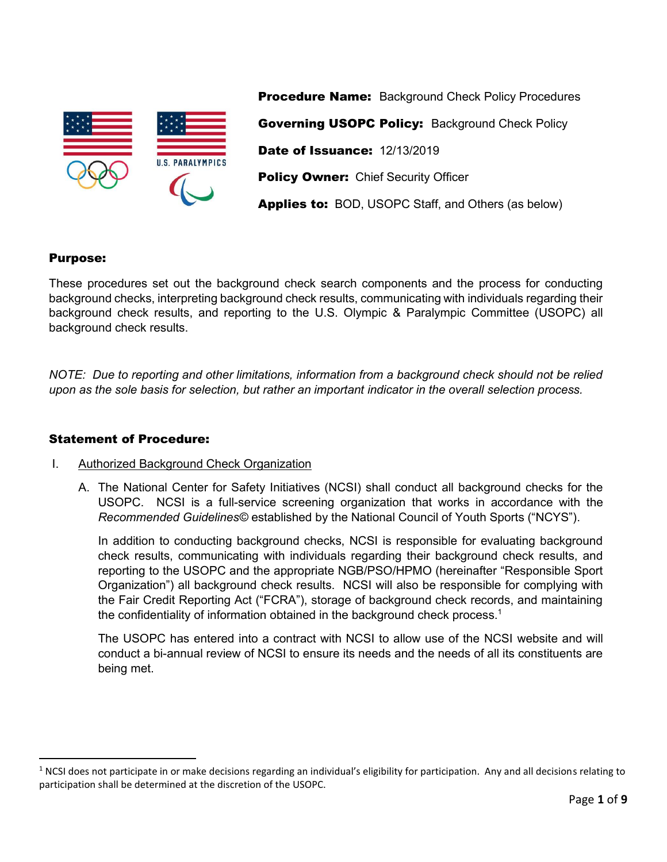

**Procedure Name:** Background Check Policy Procedures Governing USOPC Policy: Background Check Policy Date of Issuance: 12/13/2019 Policy Owner: Chief Security Officer Applies to: BOD, USOPC Staff, and Others (as below)

# Purpose:

These procedures set out the background check search components and the process for conducting background checks, interpreting background check results, communicating with individuals regarding their background check results, and reporting to the U.S. Olympic & Paralympic Committee (USOPC) all background check results.

*NOTE: Due to reporting and other limitations, information from a background check should not be relied upon as the sole basis for selection, but rather an important indicator in the overall selection process.* 

## Statement of Procedure:

## I. Authorized Background Check Organization

A. The National Center for Safety Initiatives (NCSI) shall conduct all background checks for the USOPC. NCSI is a full-service screening organization that works in accordance with the *Recommended Guidelines©* established by the National Council of Youth Sports ("NCYS").

In addition to conducting background checks, NCSI is responsible for evaluating background check results, communicating with individuals regarding their background check results, and reporting to the USOPC and the appropriate NGB/PSO/HPMO (hereinafter "Responsible Sport Organization") all background check results. NCSI will also be responsible for complying with the Fair Credit Reporting Act ("FCRA"), storage of background check records, and maintaining the confidentiality of information obtained in the background check process.<sup>[1](#page-0-0)</sup>

<span id="page-0-1"></span>The USOPC has entered into a contract with NCSI to allow use of the NCSI website and will conduct a bi-annual review of NCSI to ensure its needs and the needs of all its constituents are being met.

<span id="page-0-0"></span> $1$  NCSI does not participate in or make decisions regarding an individual's eligibility for participation. Any and all decisions relating to participation shall be determined at the discretion of the USOPC.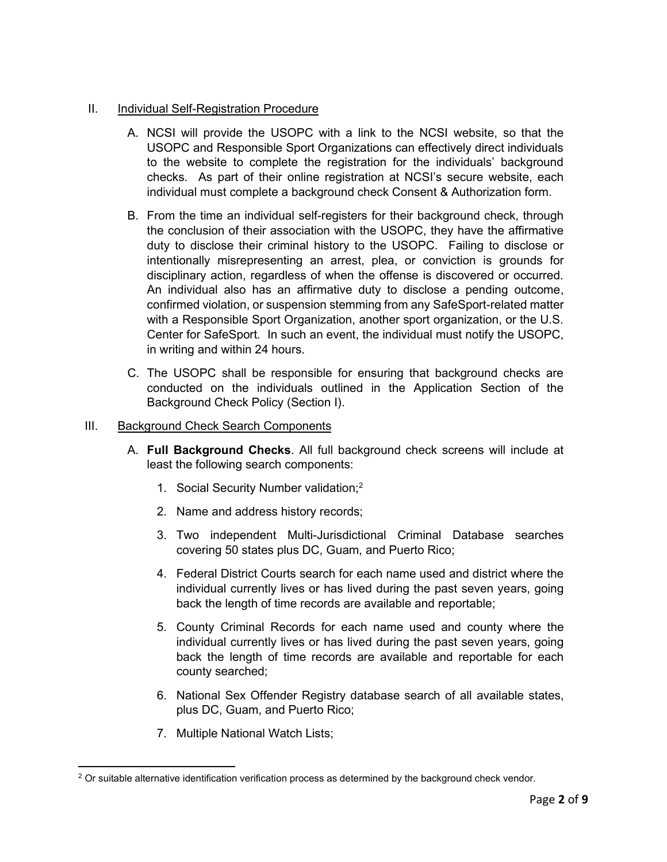## II. Individual Self-Registration Procedure

- A. NCSI will provide the USOPC with a link to the NCSI website, so that the USOPC and Responsible Sport Organizations can effectively direct individuals to the website to complete the registration for the individuals' background checks. As part of their online registration at NCSI's secure website, each individual must complete a background check Consent & Authorization form.
- B. From the time an individual self-registers for their background check, through the conclusion of their association with the USOPC, they have the affirmative duty to disclose their criminal history to the USOPC. Failing to disclose or intentionally misrepresenting an arrest, plea, or conviction is grounds for disciplinary action, regardless of when the offense is discovered or occurred. An individual also has an affirmative duty to disclose a pending outcome, confirmed violation, or suspension stemming from any SafeSport-related matter with a Responsible Sport Organization, another sport organization, or the U.S. Center for SafeSport. In such an event, the individual must notify the USOPC, in writing and within 24 hours.
- <span id="page-1-1"></span>C. The USOPC shall be responsible for ensuring that background checks are conducted on the individuals outlined in the Application Section of the Background Check Policy (Section I).
- III. Background Check Search Components
	- A. **Full Background Checks**. All full background check screens will include at least the following search components:
		- 1. Social Security Number validation;[2](#page-1-0)
		- 2. Name and address history records;
		- 3. Two independent Multi-Jurisdictional Criminal Database searches covering 50 states plus DC, Guam, and Puerto Rico;
		- 4. Federal District Courts search for each name used and district where the individual currently lives or has lived during the past seven years, going back the length of time records are available and reportable;
		- 5. County Criminal Records for each name used and county where the individual currently lives or has lived during the past seven years, going back the length of time records are available and reportable for each county searched;
		- 6. National Sex Offender Registry database search of all available states, plus DC, Guam, and Puerto Rico;
		- 7. Multiple National Watch Lists;

<span id="page-1-0"></span><sup>&</sup>lt;sup>[2](#page-1-1)</sup> Or suitable alternative identification verification process as determined by the background check vendor.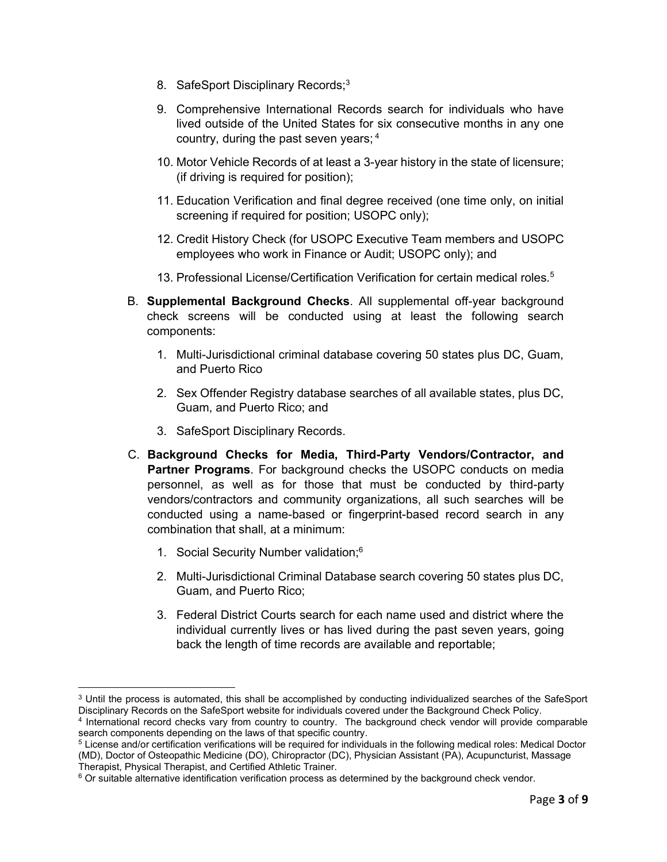- <span id="page-2-1"></span>8. SafeSport Disciplinary Records;<sup>[3](#page-2-0)</sup>
- 9. Comprehensive International Records search for individuals who have lived outside of the United States for six consecutive months in any one country, during the past seven years; [4](#page-2-2)
- <span id="page-2-3"></span>10. Motor Vehicle Records of at least a 3-year history in the state of licensure; (if driving is required for position);
- 11. Education Verification and final degree received (one time only, on initial screening if required for position; USOPC only);
- 12. Credit History Check (for USOPC Executive Team members and USOPC employees who work in Finance or Audit; USOPC only); and
- <span id="page-2-5"></span>13. Professional License/Certification Verification for certain medical roles.[5](#page-2-4)
- B. **Supplemental Background Checks**. All supplemental off-year background check screens will be conducted using at least the following search components:
	- 1. Multi-Jurisdictional criminal database covering 50 states plus DC, Guam, and Puerto Rico
	- 2. Sex Offender Registry database searches of all available states, plus DC, Guam, and Puerto Rico; and
	- 3. SafeSport Disciplinary Records.
- <span id="page-2-7"></span>C. **Background Checks for Media, Third-Party Vendors/Contractor, and Partner Programs**. For background checks the USOPC conducts on media personnel, as well as for those that must be conducted by third-party vendors/contractors and community organizations, all such searches will be conducted using a name-based or fingerprint-based record search in any combination that shall, at a minimum:
	- 1. Social Security Number validation;[6](#page-2-6)
	- 2. Multi-Jurisdictional Criminal Database search covering 50 states plus DC, Guam, and Puerto Rico;
	- 3. Federal District Courts search for each name used and district where the individual currently lives or has lived during the past seven years, going back the length of time records are available and reportable;

<span id="page-2-0"></span>[<sup>3</sup>](#page-2-1) Until the process is automated, this shall be accomplished by conducting individualized searches of the SafeSport Disciplinary Records on the SafeSport website for individuals covered under the Background Check Policy.

<span id="page-2-2"></span>[<sup>4</sup>](#page-2-3) International record checks vary from country to country. The background check vendor will provide comparable search components depending on the laws of that specific country.

<span id="page-2-4"></span>[<sup>5</sup>](#page-2-5) License and/or certification verifications will be required for individuals in the following medical roles: Medical Doctor (MD), Doctor of Osteopathic Medicine (DO), Chiropractor (DC), Physician Assistant (PA), Acupuncturist, Massage Therapist, Physical Therapist, and Certified Athletic Trainer.

<span id="page-2-6"></span> $6$  Or suitable alternative identification verification process as determined by the background check vendor.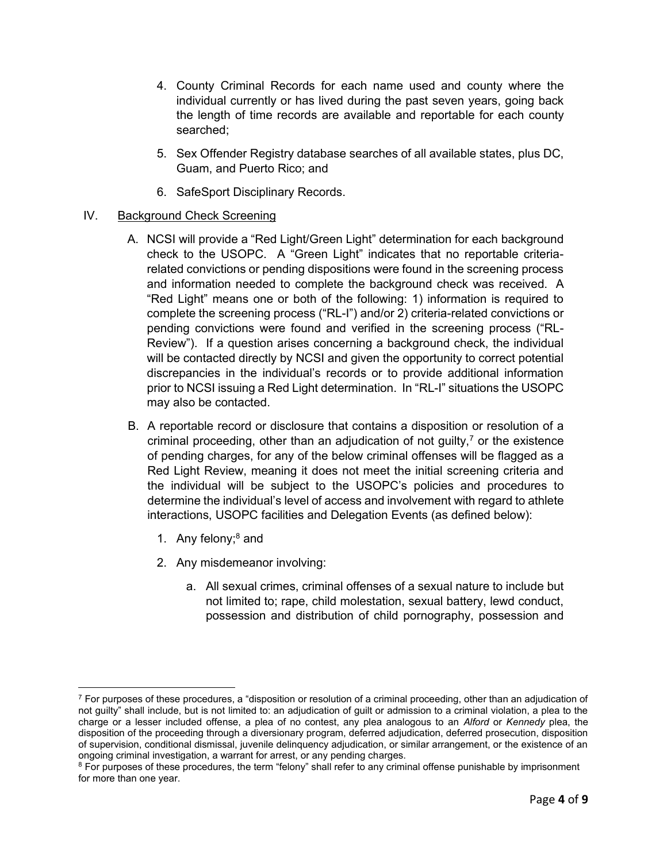- 4. County Criminal Records for each name used and county where the individual currently or has lived during the past seven years, going back the length of time records are available and reportable for each county searched;
- 5. Sex Offender Registry database searches of all available states, plus DC, Guam, and Puerto Rico; and
- 6. SafeSport Disciplinary Records.

## IV. Background Check Screening

- A. NCSI will provide a "Red Light/Green Light" determination for each background check to the USOPC. A "Green Light" indicates that no reportable criteriarelated convictions or pending dispositions were found in the screening process and information needed to complete the background check was received. A "Red Light" means one or both of the following: 1) information is required to complete the screening process ("RL-I") and/or 2) criteria-related convictions or pending convictions were found and verified in the screening process ("RL-Review"). If a question arises concerning a background check, the individual will be contacted directly by NCSI and given the opportunity to correct potential discrepancies in the individual's records or to provide additional information prior to NCSI issuing a Red Light determination. In "RL-I" situations the USOPC may also be contacted.
- <span id="page-3-1"></span>B. A reportable record or disclosure that contains a disposition or resolution of a criminal proceeding, other than an adjudication of not guilty,<sup>7</sup> or the existence of pending charges, for any of the below criminal offenses will be flagged as a Red Light Review, meaning it does not meet the initial screening criteria and the individual will be subject to the USOPC's policies and procedures to determine the individual's level of access and involvement with regard to athlete interactions, USOPC facilities and Delegation Events (as defined below):
	- 1. Any felony; $8$  and
	- 2. Any misdemeanor involving:
		- a. All sexual crimes, criminal offenses of a sexual nature to include but not limited to; rape, child molestation, sexual battery, lewd conduct, possession and distribution of child pornography, possession and

 $7$  For purposes of these procedures, a "disposition or resolution of a criminal proceeding, other than an adjudication of not guilty" shall include, but is not limited to: an adjudication of guilt or admission to a criminal violation, a plea to the charge or a lesser included offense, a plea of no contest, any plea analogous to an *Alford* or *Kennedy* plea, the disposition of the proceeding through a diversionary program, deferred adjudication, deferred prosecution, disposition of supervision, conditional dismissal, juvenile delinquency adjudication, or similar arrangement, or the existence of an ongoing criminal investigation, a warrant for arrest, or any pending charges.

<span id="page-3-0"></span><sup>&</sup>lt;sup>[8](#page-3-1)</sup> For purposes of these procedures, the term "felony" shall refer to any criminal offense punishable by imprisonment for more than one year.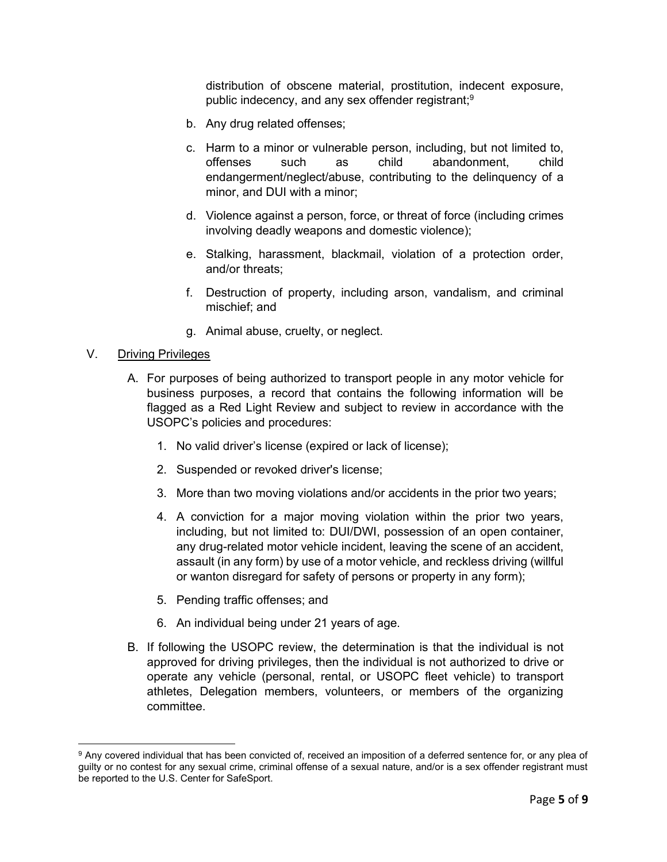<span id="page-4-1"></span>distribution of obscene material, prostitution, indecent exposure, public indecency, and any sex offender registrant;<sup>[9](#page-4-0)</sup>

- b. Any drug related offenses;
- c. Harm to a minor or vulnerable person, including, but not limited to, offenses such as child abandonment, child endangerment/neglect/abuse, contributing to the delinquency of a minor, and DUI with a minor;
- d. Violence against a person, force, or threat of force (including crimes involving deadly weapons and domestic violence);
- e. Stalking, harassment, blackmail, violation of a protection order, and/or threats;
- f. Destruction of property, including arson, vandalism, and criminal mischief; and
- g. Animal abuse, cruelty, or neglect.

#### V. Driving Privileges

- A. For purposes of being authorized to transport people in any motor vehicle for business purposes, a record that contains the following information will be flagged as a Red Light Review and subject to review in accordance with the USOPC's policies and procedures:
	- 1. No valid driver's license (expired or lack of license);
	- 2. Suspended or revoked driver's license;
	- 3. More than two moving violations and/or accidents in the prior two years;
	- 4. A conviction for a major moving violation within the prior two years, including, but not limited to: DUI/DWI, possession of an open container, any drug-related motor vehicle incident, leaving the scene of an accident, assault (in any form) by use of a motor vehicle, and reckless driving (willful or wanton disregard for safety of persons or property in any form);
	- 5. Pending traffic offenses; and
	- 6. An individual being under 21 years of age.
- B. If following the USOPC review, the determination is that the individual is not approved for driving privileges, then the individual is not authorized to drive or operate any vehicle (personal, rental, or USOPC fleet vehicle) to transport athletes, Delegation members, volunteers, or members of the organizing committee.

<span id="page-4-0"></span>[<sup>9</sup>](#page-4-1) Any covered individual that has been convicted of, received an imposition of a deferred sentence for, or any plea of guilty or no contest for any sexual crime, criminal offense of a sexual nature, and/or is a sex offender registrant must be reported to the U.S. Center for SafeSport.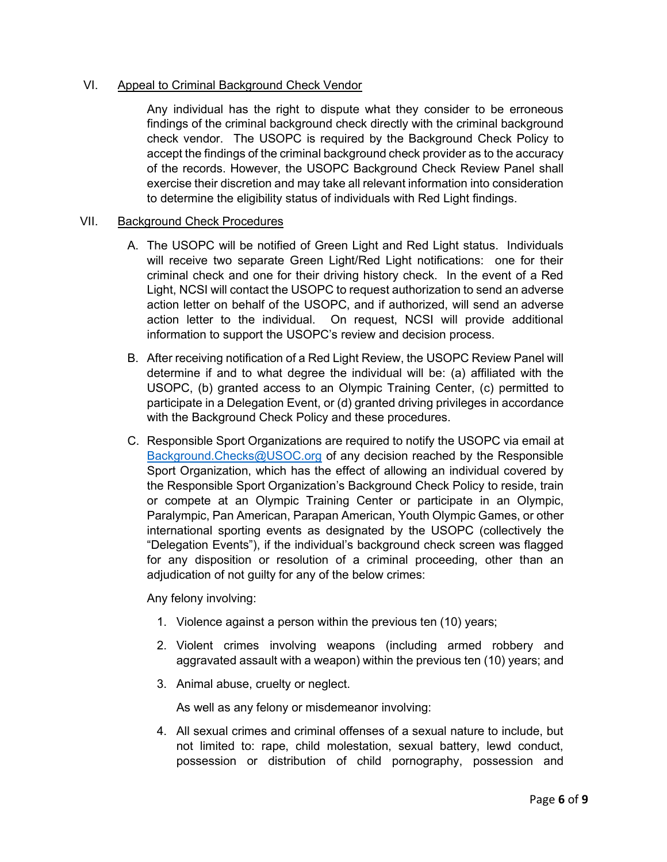## VI. Appeal to Criminal Background Check Vendor

Any individual has the right to dispute what they consider to be erroneous findings of the criminal background check directly with the criminal background check vendor. The USOPC is required by the Background Check Policy to accept the findings of the criminal background check provider as to the accuracy of the records. However, the USOPC Background Check Review Panel shall exercise their discretion and may take all relevant information into consideration to determine the eligibility status of individuals with Red Light findings.

#### VII. Background Check Procedures

- A. The USOPC will be notified of Green Light and Red Light status. Individuals will receive two separate Green Light/Red Light notifications: one for their criminal check and one for their driving history check. In the event of a Red Light, NCSI will contact the USOPC to request authorization to send an adverse action letter on behalf of the USOPC, and if authorized, will send an adverse action letter to the individual. On request, NCSI will provide additional information to support the USOPC's review and decision process.
- B. After receiving notification of a Red Light Review, the USOPC Review Panel will determine if and to what degree the individual will be: (a) affiliated with the USOPC, (b) granted access to an Olympic Training Center, (c) permitted to participate in a Delegation Event, or (d) granted driving privileges in accordance with the Background Check Policy and these procedures.
- C. Responsible Sport Organizations are required to notify the USOPC via email at [Background.Checks@USOC.org](mailto:Background.Checks@USOC.org) of any decision reached by the Responsible Sport Organization, which has the effect of allowing an individual covered by the Responsible Sport Organization's Background Check Policy to reside, train or compete at an Olympic Training Center or participate in an Olympic, Paralympic, Pan American, Parapan American, Youth Olympic Games, or other international sporting events as designated by the USOPC (collectively the "Delegation Events"), if the individual's background check screen was flagged for any disposition or resolution of a criminal proceeding, other than an adjudication of not guilty for any of the below crimes:

Any felony involving:

- 1. Violence against a person within the previous ten (10) years;
- 2. Violent crimes involving weapons (including armed robbery and aggravated assault with a weapon) within the previous ten (10) years; and
- 3. Animal abuse, cruelty or neglect.

As well as any felony or misdemeanor involving:

4. All sexual crimes and criminal offenses of a sexual nature to include, but not limited to: rape, child molestation, sexual battery, lewd conduct, possession or distribution of child pornography, possession and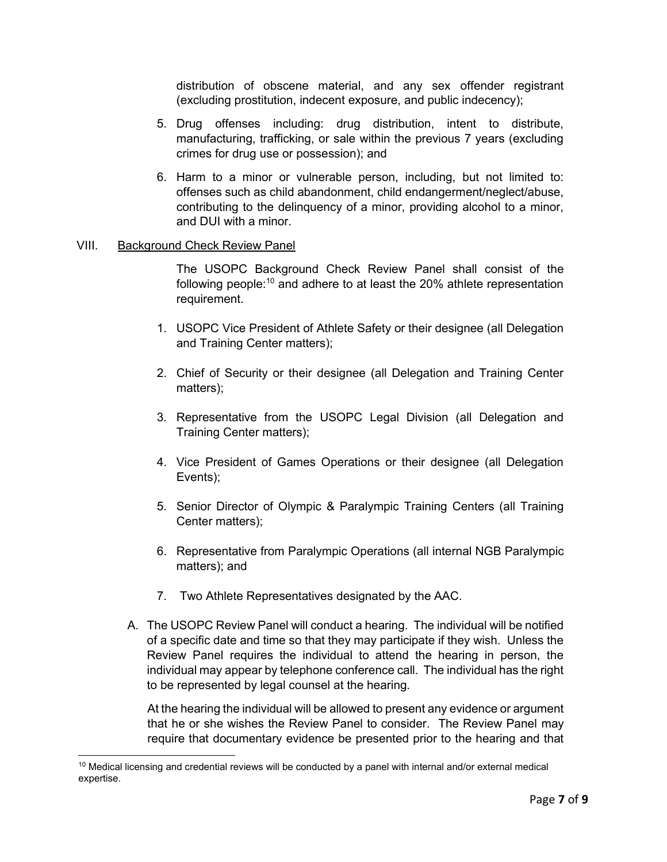distribution of obscene material, and any sex offender registrant (excluding prostitution, indecent exposure, and public indecency);

- 5. Drug offenses including: drug distribution, intent to distribute, manufacturing, trafficking, or sale within the previous 7 years (excluding crimes for drug use or possession); and
- 6. Harm to a minor or vulnerable person, including, but not limited to: offenses such as child abandonment, child endangerment/neglect/abuse, contributing to the delinquency of a minor, providing alcohol to a minor, and DUI with a minor.

### VIII. Background Check Review Panel

<span id="page-6-1"></span>The USOPC Background Check Review Panel shall consist of the following people:[10](#page-6-0) and adhere to at least the 20% athlete representation requirement.

- 1. USOPC Vice President of Athlete Safety or their designee (all Delegation and Training Center matters);
- 2. Chief of Security or their designee (all Delegation and Training Center matters);
- 3. Representative from the USOPC Legal Division (all Delegation and Training Center matters);
- 4. Vice President of Games Operations or their designee (all Delegation Events);
- 5. Senior Director of Olympic & Paralympic Training Centers (all Training Center matters);
- 6. Representative from Paralympic Operations (all internal NGB Paralympic matters); and
- 7. Two Athlete Representatives designated by the AAC.
- A. The USOPC Review Panel will conduct a hearing. The individual will be notified of a specific date and time so that they may participate if they wish. Unless the Review Panel requires the individual to attend the hearing in person, the individual may appear by telephone conference call. The individual has the right to be represented by legal counsel at the hearing.

At the hearing the individual will be allowed to present any evidence or argument that he or she wishes the Review Panel to consider. The Review Panel may require that documentary evidence be presented prior to the hearing and that

<span id="page-6-0"></span><sup>&</sup>lt;sup>[10](#page-6-1)</sup> Medical licensing and credential reviews will be conducted by a panel with internal and/or external medical expertise.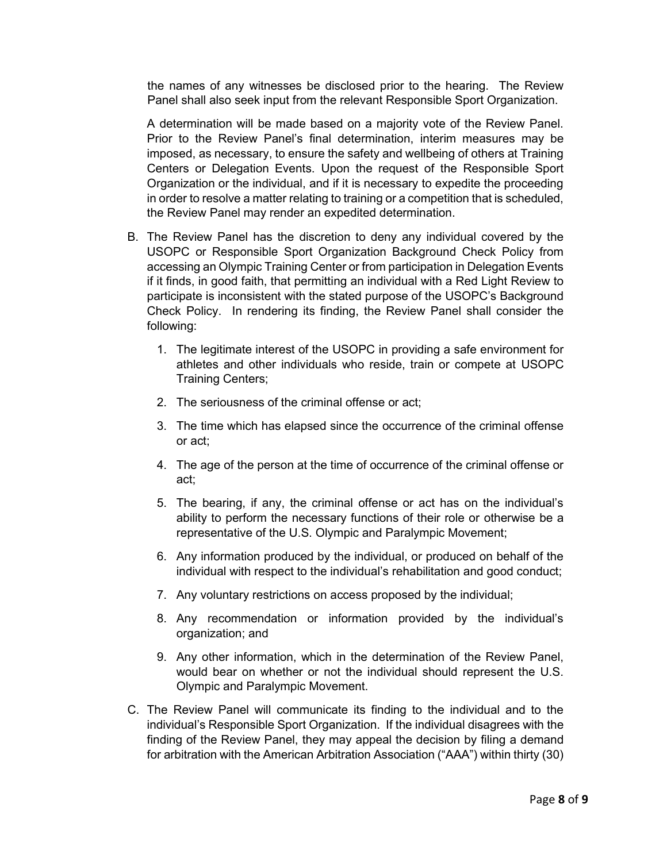the names of any witnesses be disclosed prior to the hearing. The Review Panel shall also seek input from the relevant Responsible Sport Organization.

A determination will be made based on a majority vote of the Review Panel. Prior to the Review Panel's final determination, interim measures may be imposed, as necessary, to ensure the safety and wellbeing of others at Training Centers or Delegation Events. Upon the request of the Responsible Sport Organization or the individual, and if it is necessary to expedite the proceeding in order to resolve a matter relating to training or a competition that is scheduled, the Review Panel may render an expedited determination.

- B. The Review Panel has the discretion to deny any individual covered by the USOPC or Responsible Sport Organization Background Check Policy from accessing an Olympic Training Center or from participation in Delegation Events if it finds, in good faith, that permitting an individual with a Red Light Review to participate is inconsistent with the stated purpose of the USOPC's Background Check Policy. In rendering its finding, the Review Panel shall consider the following:
	- 1. The legitimate interest of the USOPC in providing a safe environment for athletes and other individuals who reside, train or compete at USOPC Training Centers;
	- 2. The seriousness of the criminal offense or act;
	- 3. The time which has elapsed since the occurrence of the criminal offense or act;
	- 4. The age of the person at the time of occurrence of the criminal offense or act;
	- 5. The bearing, if any, the criminal offense or act has on the individual's ability to perform the necessary functions of their role or otherwise be a representative of the U.S. Olympic and Paralympic Movement;
	- 6. Any information produced by the individual, or produced on behalf of the individual with respect to the individual's rehabilitation and good conduct;
	- 7. Any voluntary restrictions on access proposed by the individual;
	- 8. Any recommendation or information provided by the individual's organization; and
	- 9. Any other information, which in the determination of the Review Panel, would bear on whether or not the individual should represent the U.S. Olympic and Paralympic Movement.
- C. The Review Panel will communicate its finding to the individual and to the individual's Responsible Sport Organization. If the individual disagrees with the finding of the Review Panel, they may appeal the decision by filing a demand for arbitration with the American Arbitration Association ("AAA") within thirty (30)